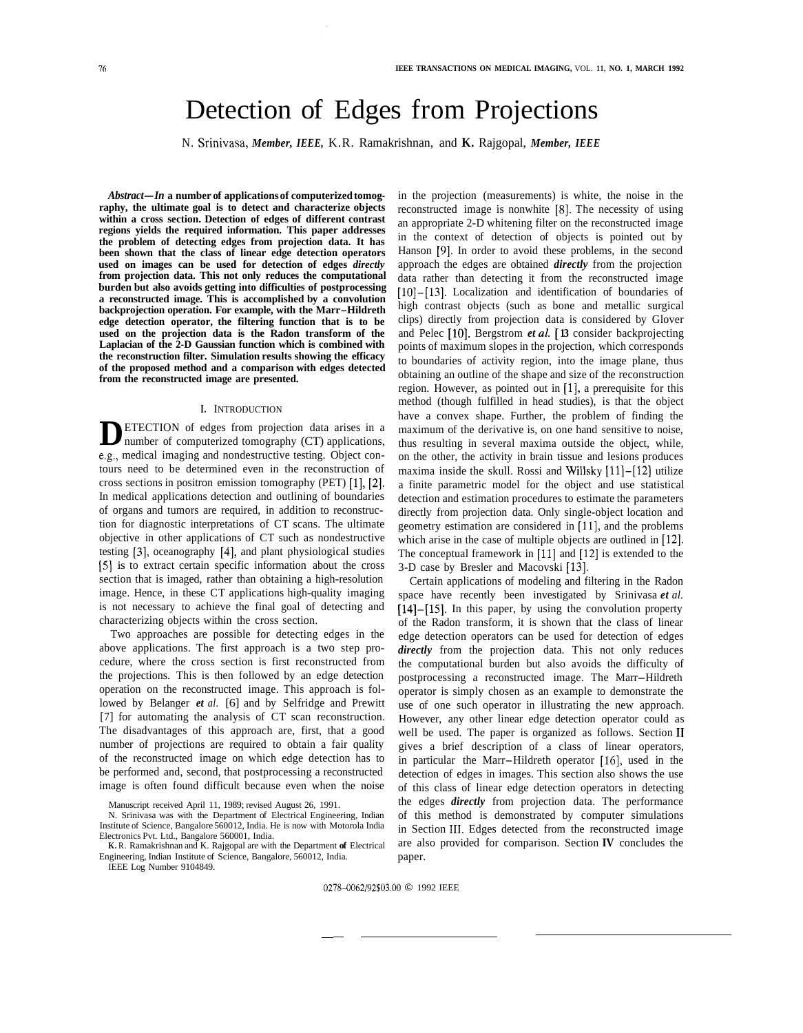# Detection of Edges from Projections

N. Srinivasa, *Member, IEEE,* K.R. Ramakrishnan, and **K.** Rajgopal, *Member, IEEE* 

*Abstract-In* **a number of applications of computerized tomography, the ultimate goal is to detect and characterize objects within a cross section. Detection of edges of different contrast regions yields the required information. This paper addresses the problem of detecting edges from projection data. It has been shown that the class of linear edge detection operators used on images can be used for detection of edges** *directly*  **from projection data. This not only reduces the computational burden but also avoids getting into difficulties of postprocessing a reconstructed image. This is accomplished by a convolution backprojection operation. For example, with the Marr-Hildreth edge detection operator, the filtering function that is to be used on the projection data is the Radon transform of the Laplacian of the 2-D Gaussian function which is combined with the reconstruction filter. Simulation results showing the efficacy of the proposed method and a comparison with edges detected from the reconstructed image are presented.** 

#### **I.** INTRODUCTION

ETECTION of edges from projection data arises in a number of computerized tomography (CT) applications, e.g., medical imaging and nondestructive testing. Object contours need to be determined even in the reconstruction of cross sections in positron emission tomography (PET) [1], [2]. In medical applications detection and outlining of boundaries of organs and tumors are required, in addition to reconstruction for diagnostic interpretations of CT scans. The ultimate objective in other applications of CT such as nondestructive testing [3], oceanography [4], and plant physiological studies **[S]** is to extract certain specific information about the cross section that is imaged, rather than obtaining a high-resolution image. Hence, in these CT applications high-quality imaging is not necessary to achieve the final goal of detecting and characterizing objects within the cross section.

Two approaches are possible for detecting edges in the above applications. The first approach is a two step procedure, where the cross section is first reconstructed from the projections. This is then followed by an edge detection operation on the reconstructed image. This approach is followed by Belanger *et al.* [6] and by Selfridge and Prewitt [7] for automating the analysis of CT scan reconstruction. The disadvantages of this approach are, first, that a good number of projections are required to obtain a fair quality of the reconstructed image on which edge detection has to be performed and, second, that postprocessing a reconstructed image is often found difficult because even when the noise

Manuscript received April 11, 1989; revised August 26, 1991.

IEEE Log Number 9104849.

in the projection (measurements) is white, the noise in the reconstructed image is nonwhite [8]. The necessity of using an appropriate 2-D whitening filter on the reconstructed image in the context of detection of objects is pointed out by Hanson [9]. In order to avoid these problems, in the second approach the edges are obtained *directly* from the projection data rather than detecting it from the reconstructed image [10]-[13]. Localization and identification of boundaries of high contrast objects (such as bone and metallic surgical clips) directly from projection data is considered by Glover and Pelec [lo]. Bergstrom *et al.* [ **13** consider backprojecting points of maximum slopes in the projection, which corresponds to boundaries of activity region, into the image plane, thus obtaining an outline of the shape and size of the reconstruction region. However, as pointed out in [l], a prerequisite for this method (though fulfilled in head studies), is that the object have a convex shape. Further, the problem of finding the maximum of the derivative is, on one hand sensitive to noise, thus resulting in several maxima outside the object, while, on the other, the activity in brain tissue and lesions produces maxima inside the skull. Rossi and Willsky  $[11]$ - $[12]$  utilize a finite parametric model for the object and use statistical detection and estimation procedures to estimate the parameters directly from projection data. Only single-object location and geometry estimation are considered in [ll], and the problems which arise in the case of multiple objects are outlined in [12]. The conceptual framework in [11] and [12] is extended to the 3-D case by Bresler and Macovski [13].

Certain applications of modeling and filtering in the Radon space have recently been investigated by Srinivasa *et al.*  [14]-[15]. In this paper, by using the convolution property of the Radon transform, it is shown that the class of linear edge detection operators can be used for detection of edges *directly* from the projection data. This not only reduces the computational burden but also avoids the difficulty of postprocessing a reconstructed image. The Marr-Hildreth operator is simply chosen as an example to demonstrate the use of one such operator in illustrating the new approach. However, any other linear edge detection operator could as well be used. The paper is organized as follows. Section **I1**  gives a brief description of a class of linear operators, in particular the Marr-Hildreth operator [16], used in the detection of edges in images. This section also shows the use of this class of linear edge detection operators in detecting the edges *directly* from projection data. The performance of this method is demonstrated by computer simulations in Section **111.** Edges detected from the reconstructed image are also provided for comparison. Section **IV** concludes the paper.

02784062/92\$03.00 *0* 1992 IEEE

N. Srinivasa was with the Department of Electrical Engineering, Indian Institute of Science, Bangalore 560012, India. He is now with Motorola India Electronics Pvt. Ltd., Bangalore 560001, India.

**K.** R. Ramakrishnan and K. Rajgopal are with the Department **of** Electrical Engineering, Indian Institute of Science, Bangalore, 560012, India.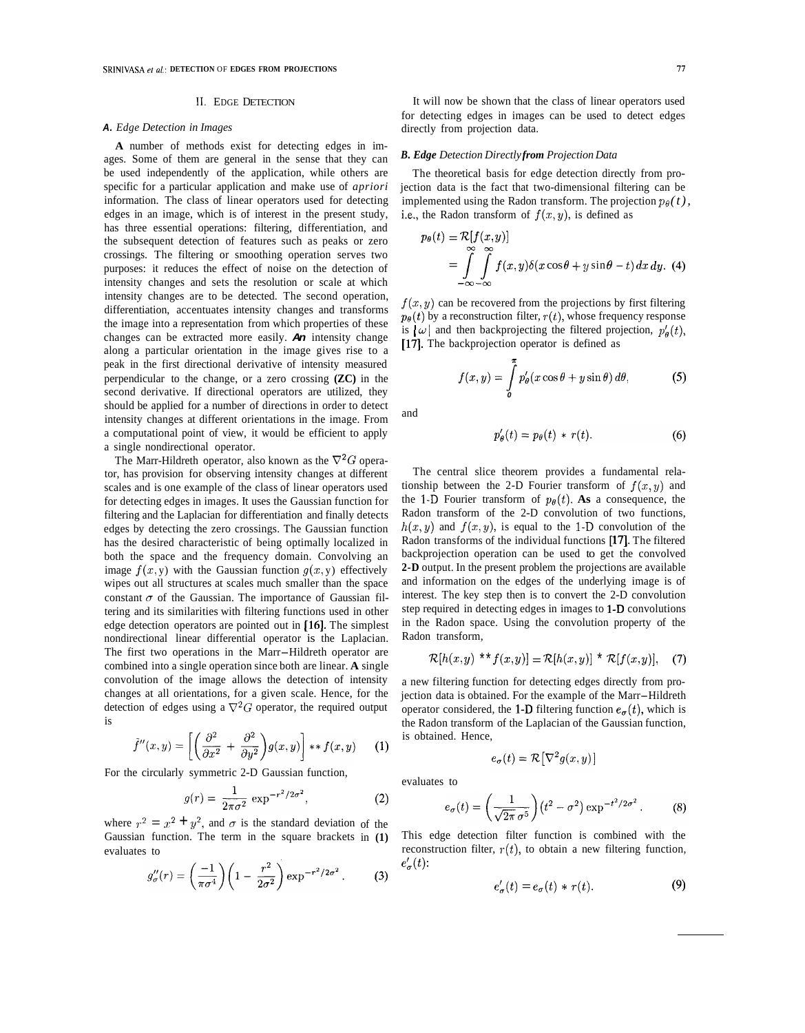# **11.** EDGE DETECTION

## *A. Edge Detection in Images*

**A** number of methods exist for detecting edges in images. Some of them are general in the sense that they can be used independently of the application, while others are specific for a particular application and make use of *apriori*  information. The class of linear operators used for detecting edges in an image, which is of interest in the present study, has three essential operations: filtering, differentiation, and the subsequent detection of features such as peaks or zero crossings. The filtering or smoothing operation serves two purposes: it reduces the effect of noise on the detection of intensity changes and sets the resolution or scale at which intensity changes are to be detected. The second operation, differentiation, accentuates intensity changes and transforms the image into a representation from which properties of these changes can be extracted more easily. *An* intensity change along a particular orientation in the image gives rise to a peak in the first directional derivative of intensity measured perpendicular to the change, or a zero crossing **(ZC)** in the second derivative. If directional operators are utilized, they should be applied for a number of directions in order to detect intensity changes at different orientations in the image. From a computational point of view, it would be efficient to apply a single nondirectional operator.

The Marr-Hildreth operator, also known as the  $\nabla^2 G$  operator, has provision for observing intensity changes at different scales and is one example of the class of linear operators used for detecting edges in images. It uses the Gaussian function for filtering and the Laplacian for differentiation and finally detects edges by detecting the zero crossings. The Gaussian function has the desired characteristic of being optimally localized in both the space and the frequency domain. Convolving an image  $f(x, y)$  with the Gaussian function  $q(x, y)$  effectively wipes out all structures at scales much smaller than the space constant  $\sigma$  of the Gaussian. The importance of Gaussian filtering and its similarities with filtering functions used in other edge detection operators are pointed out in **[16].** The simplest nondirectional linear differential operator is the Laplacian. The first two operations in the Marr-Hildreth operator are combined into a single operation since both are linear. **A** single convolution of the image allows the detection of intensity changes at all orientations, for a given scale. Hence, for the detection of edges using a  $\nabla^2 G$  operator, the required output is

$$
\tilde{f}''(x,y) = \left[ \left( \frac{\partial^2}{\partial x^2} + \frac{\partial^2}{\partial y^2} \right) g(x,y) \right] * f(x,y) \quad (1)
$$

For the circularly symmetric 2-D Gaussian function,

$$
g(r) = \frac{1}{2\pi\sigma^2} \exp^{-r^2/2\sigma^2},
$$
 (2)

where  $r^2 = x^2 + y^2$ , and  $\sigma$  is the standard deviation of the Gaussian function. The term in the square brackets in **(1)**  evaluates to

$$
g''_{\sigma}(r) = \left(\frac{-1}{\pi\sigma^4}\right) \left(1 - \frac{r^2}{2\sigma^2}\right) \exp^{-r^2/2\sigma^2}.
$$
 (3)

It will now be shown that the class of linear operators used for detecting edges in images can be used to detect edges directly from projection data.

# *B. Edge Detection Directly from Projection Data*

The theoretical basis for edge detection directly from projection data is the fact that two-dimensional filtering can be implemented using the Radon transform. The projection  $p_{\theta}(t)$ , i.e., the Radon transform of  $f(x, y)$ , is defined as

$$
p_{\theta}(t) = \mathcal{R}[f(x, y)]
$$
  
= 
$$
\int_{-\infty}^{\infty} \int_{-\infty}^{\infty} f(x, y) \delta(x \cos \theta + y \sin \theta - t) dx dy.
$$
 (4)

 $f(x, y)$  can be recovered from the projections by first filtering  $p_{\theta}(t)$  by a reconstruction filter,  $r(t)$ , whose frequency response is  $|\omega|$  and then backprojecting the filtered projection,  $p'_{\theta}(t)$ , **[17].** The backprojection operator is defined as

$$
f(x,y) = \int_{0}^{\pi} p_{\theta}'(x\cos\theta + y\sin\theta) d\theta, \qquad (5)
$$

and

$$
p'_{\theta}(t) = p_{\theta}(t) * r(t). \tag{6}
$$

The central slice theorem provides a fundamental relationship between the 2-D Fourier transform of  $f(x, y)$  and the 1-D Fourier transform of  $p_{\theta}(t)$ . As a consequence, the Radon transform of the 2-D convolution of two functions,  $h(x, y)$  and  $f(x, y)$ , is equal to the 1-D convolution of the Radon transforms of the individual functions [ **171.** The filtered backprojection operation can be used to get the convolved **2-D** output. In the present problem the projections are available and information on the edges of the underlying image is of interest. The key step then is to convert the 2-D convolution step required in detecting edges in images to **1-D** convolutions in the Radon space. Using the convolution property of the Radon transform,

$$
\mathcal{R}[h(x,y) \ {}^{\star\star} f(x,y)] = \mathcal{R}[h(x,y)] \ {}^{\star} \mathcal{R}[f(x,y)], \quad (7)
$$

a new filtering function for detecting edges directly from projection data is obtained. For the example of the Marr-Hildreth operator considered, the 1-D filtering function  $e_{\sigma}(t)$ , which is the Radon transform of the Laplacian of the Gaussian function, is obtained. Hence,

$$
e_{\sigma}(t) = \mathcal{R}[\nabla^2 g(x, y)]
$$

evaluates to

$$
e_{\sigma}(t) = \left(\frac{1}{\sqrt{2\pi}\,\sigma^5}\right) \left(t^2 - \sigma^2\right) \exp^{-t^2/2\sigma^2}.
$$
 (8)

This edge detection filter function is combined with the reconstruction filter,  $r(t)$ , to obtain a new filtering function,  $e'_{\sigma}(t)$ :

$$
e'_{\sigma}(t) = e_{\sigma}(t) * r(t). \tag{9}
$$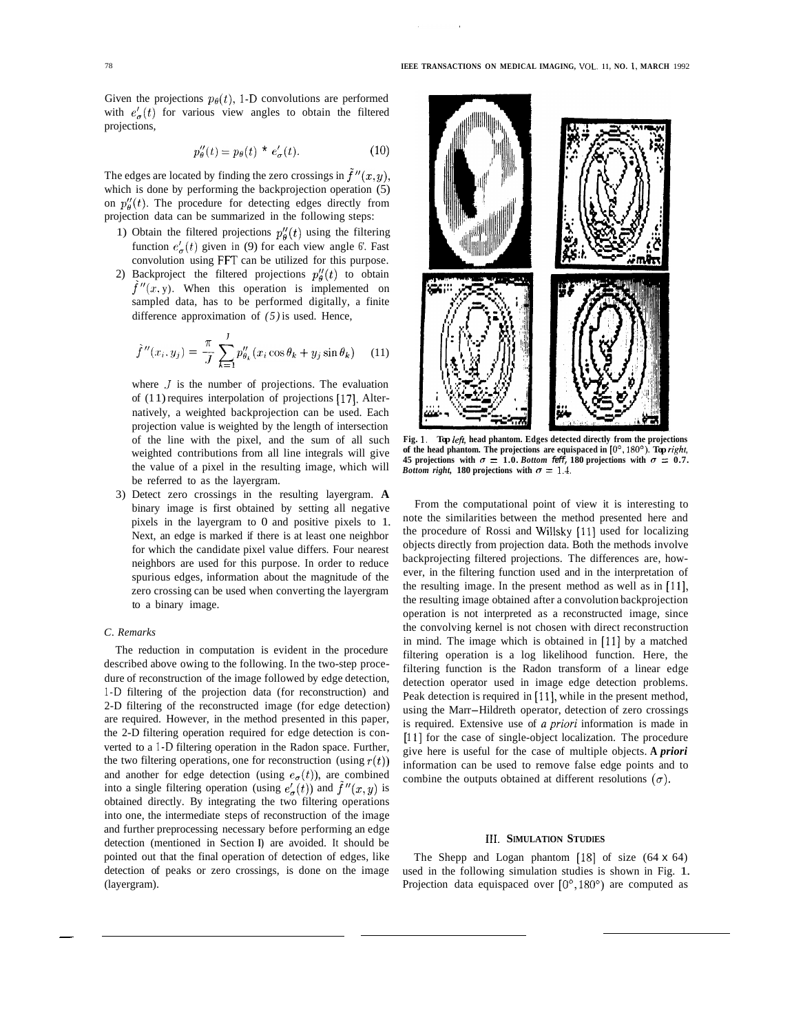Given the projections  $p_{\theta}(t)$ , 1-D convolutions are performed with  $e'_{\sigma}(t)$  for various view angles to obtain the filtered projections,

$$
p_{\theta}^{\prime\prime}(t) = p_{\theta}(t) \star e_{\sigma}^{\prime}(t). \tag{10}
$$

The edges are located by finding the zero crossings in  $\tilde{f}''(x, y)$ , which is done by performing the backprojection operation  $(5)$ on  $p_{\theta}^{\prime\prime}(t)$ . The procedure for detecting edges directly from projection data can be summarized in the following steps:

- 1) Obtain the filtered projections  $p''_0(t)$  using the filtering function  $e_{\sigma}'(t)$  given in (9) for each view angle 6. Fast convolution using FFT can be utilized for this purpose.
- 2) Backproject the filtered projections  $p''_0(t)$  to obtain  $\tilde{f}''(x, y)$ . When this operation is implemented on sampled data, has to be performed digitally, a finite difference approximation of *(5)* is used. Hence,

$$
\hat{f}''(x_i, y_j) = \frac{\pi}{J} \sum_{k=1}^{J} p_{\theta_k}''(x_i \cos \theta_k + y_j \sin \theta_k)
$$
 (11)

where  $J$  is the number of projections. The evaluation of (1 1) requires interpolation of projections [17]. Alternatively, a weighted backprojection can be used. Each projection value is weighted by the length of intersection of the line with the pixel, and the sum of all such weighted contributions from all line integrals will give the value of a pixel in the resulting image, which will be referred to as the layergram.

3) Detect zero crossings in the resulting layergram. **A**  binary image is first obtained by setting all negative pixels in the layergram to 0 and positive pixels to 1. Next, an edge is marked if there is at least one neighbor for which the candidate pixel value differs. Four nearest neighbors are used for this purpose. In order to reduce spurious edges, information about the magnitude of the zero crossing can be used when converting the layergram to a binary image.

### *C. Remarks*

The reduction in computation is evident in the procedure described above owing to the following. In the two-step procedure of reconstruction of the image followed by edge detection, 1-D filtering of the projection data (for reconstruction) and 2-D filtering of the reconstructed image (for edge detection) are required. However, in the method presented in this paper, the 2-D filtering operation required for edge detection is converted to a 1-D filtering operation in the Radon space. Further, the two filtering operations, one for reconstruction (using  $r(t)$ ) and another for edge detection (using  $e_{\sigma}(t)$ ), are combined into a single filtering operation (using  $e'_{\sigma}(t)$ ) and  $\tilde{f}''(x,y)$  is obtained directly. By integrating the two filtering operations into one, the intermediate steps of reconstruction of the image and further preprocessing necessary before performing an edge detection (mentioned in Section **I)** are avoided. It should be pointed out that the final operation of detection of edges, like detection of peaks or zero crossings, is done on the image (layergram).



**Fig.** 1. **Top** *feff,* **head phantom. Edges detected directly from the projections of the head phantom. The projections are equispaced in [0°, 180°). Top** *right,* **45 projections with**  $\sigma = 1.0$ . *Bottom feff,* 180 projections with  $\sigma = 0.7$ . *Bottom right,* **180** projections with  $\sigma = 1.4$ .

From the computational point of view it is interesting to note the similarities between the method presented here and the procedure of Rossi and Willsky [11] used for localizing objects directly from projection data. Both the methods involve backprojecting filtered projections. The differences are, however, in the filtering function used and in the interpretation of the resulting image. In the present method as well as in  $[11]$ , the resulting image obtained after a convolution backprojection operation is not interpreted as a reconstructed image, since the convolving kernel is not chosen with direct reconstruction in mind. The image which is obtained in  $[11]$  by a matched filtering operation is a log likelihood function. Here, the filtering function is the Radon transform of a linear edge detection operator used in image edge detection problems. Peak detection is required in [11], while in the present method, using the Marr-Hildreth operator, detection of zero crossings is required. Extensive use of *apriori* information is made in [11] for the case of single-object localization. The procedure give here is useful for the case of multiple objects. **A** *priori*  information can be used to remove false edge points and to combine the outputs obtained at different resolutions  $(\sigma)$ .

## **111. SIMULATION STUDIES**

The Shepp and Logan phantom  $[18]$  of size  $(64 \times 64)$ used in the following simulation studies is shown in Fig. 1. Projection data equispaced over  $[0^{\circ}, 180^{\circ}]$  are computed as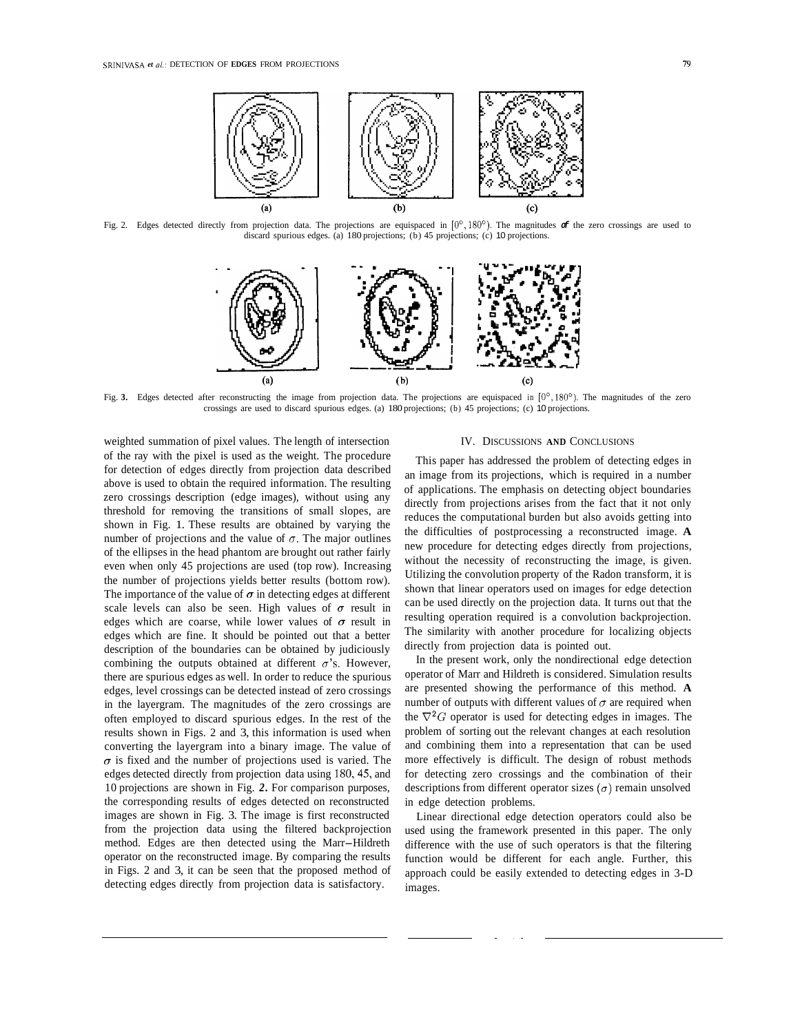

Fig. 2. Edges detected directly from projection data. The projections are equispaced in  $[0^{\circ}, 180^{\circ}]$ . The magnitudes **of** the zero crossings are used to discard spurious edges. (a) 180 projections; (b) 45 projections; (c) 10 projections.



Fig. 3. Edges detected after reconstructing the image from projection data. The projections are equispaced in [0°, 180°). The magnitudes of the zero crossings are used to discard spurious edges. (a) 180 projections; (b) 45 projections; (c) 10 projections.

weighted summation of pixel values. The length of intersection of the ray with the pixel is used as the weight. The procedure for detection of edges directly from projection data described above is used to obtain the required information. The resulting zero crossings description (edge images), without using any threshold for removing the transitions of small slopes, are shown in Fig. 1. These results are obtained by varying the number of projections and the value of  $\sigma$ . The major outlines of the ellipses in the head phantom are brought out rather fairly even when only 45 projections are used (top row). Increasing the number of projections yields better results (bottom row). The importance of the value of  $\sigma$  in detecting edges at different scale levels can also be seen. High values of  $\sigma$  result in edges which are coarse, while lower values of  $\sigma$  result in edges which are fine. It should be pointed out that a better description of the boundaries can be obtained by judiciously combining the outputs obtained at different  $\sigma$ 's. However, there are spurious edges as well. In order to reduce the spurious edges, level crossings can be detected instead of zero crossings in the layergram. The magnitudes of the zero crossings are often employed to discard spurious edges. In the rest of the results shown in Figs. 2 and 3, this information is used when converting the layergram into a binary image. The value of  $\sigma$  is fixed and the number of projections used is varied. The edges detected directly from projection data using 180,45, and 10 projections are shown in Fig. *2.* For comparison purposes, the corresponding results of edges detected on reconstructed images are shown in Fig. 3. The image is first reconstructed from the projection data using the filtered backprojection method. Edges are then detected using the Marr-Hildreth operator on the reconstructed image. By comparing the results in Figs. 2 and 3, it can be seen that the proposed method of detecting edges directly from projection data is satisfactory.

## IV. DISCUSSIONS **AND** CONCLUSIONS

This paper has addressed the problem of detecting edges in an image from its projections, which is required in a number of applications. The emphasis on detecting object boundaries directly from projections arises from the fact that it not only reduces the computational burden but also avoids getting into the difficulties of postprocessing a reconstructed image. **A**  new procedure for detecting edges directly from projections, without the necessity of reconstructing the image, is given. Utilizing the convolution property of the Radon transform, it is shown that linear operators used on images for edge detection can be used directly on the projection data. It turns out that the resulting operation required is a convolution backprojection. The similarity with another procedure for localizing objects directly from projection data is pointed out.

In the present work, only the nondirectional edge detection operator of Marr and Hildreth is considered. Simulation results are presented showing the performance of this method. **A**  number of outputs with different values of  $\sigma$  are required when the  $\nabla^2 G$  operator is used for detecting edges in images. The problem of sorting out the relevant changes at each resolution and combining them into a representation that can be used more effectively is difficult. The design of robust methods for detecting zero crossings and the combination of their descriptions from different operator sizes  $(\sigma)$  remain unsolved in edge detection problems.

Linear directional edge detection operators could also be used using the framework presented in this paper. The only difference with the use of such operators is that the filtering function would be different for each angle. Further, this approach could be easily extended to detecting edges in 3-D images.